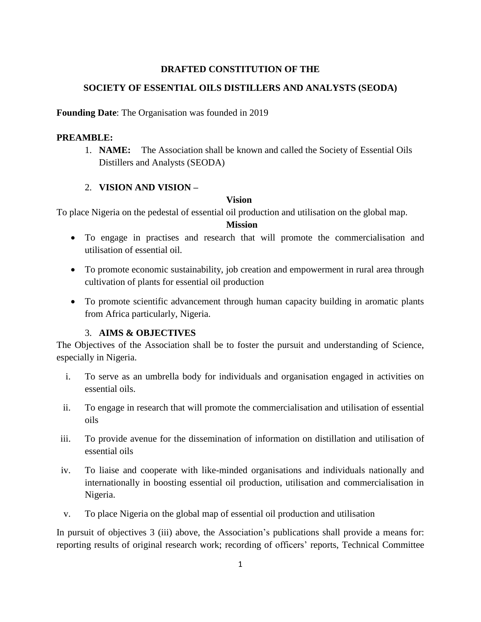# **DRAFTED CONSTITUTION OF THE**

# **SOCIETY OF ESSENTIAL OILS DISTILLERS AND ANALYSTS (SEODA)**

## **Founding Date**: The Organisation was founded in 2019

### **PREAMBLE:**

1. **NAME:** The Association shall be known and called the Society of Essential Oils Distillers and Analysts (SEODA)

## 2. **VISION AND VISION –**

### **Vision**

To place Nigeria on the pedestal of essential oil production and utilisation on the global map.

### **Mission**

- To engage in practises and research that will promote the commercialisation and utilisation of essential oil.
- To promote economic sustainability, job creation and empowerment in rural area through cultivation of plants for essential oil production
- To promote scientific advancement through human capacity building in aromatic plants from Africa particularly, Nigeria.

## 3. **AIMS & OBJECTIVES**

The Objectives of the Association shall be to foster the pursuit and understanding of Science, especially in Nigeria.

- i. To serve as an umbrella body for individuals and organisation engaged in activities on essential oils.
- ii. To engage in research that will promote the commercialisation and utilisation of essential oils
- iii. To provide avenue for the dissemination of information on distillation and utilisation of essential oils
- iv. To liaise and cooperate with like-minded organisations and individuals nationally and internationally in boosting essential oil production, utilisation and commercialisation in Nigeria.
- v. To place Nigeria on the global map of essential oil production and utilisation

In pursuit of objectives 3 (iii) above, the Association's publications shall provide a means for: reporting results of original research work; recording of officers' reports, Technical Committee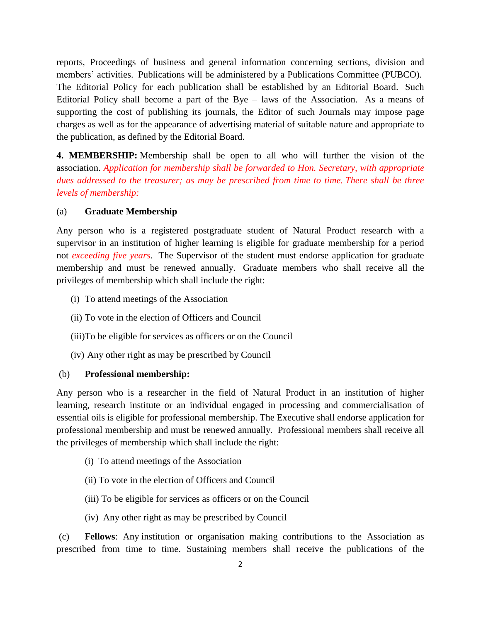reports, Proceedings of business and general information concerning sections, division and members' activities. Publications will be administered by a Publications Committee (PUBCO). The Editorial Policy for each publication shall be established by an Editorial Board. Such Editorial Policy shall become a part of the Bye – laws of the Association. As a means of supporting the cost of publishing its journals, the Editor of such Journals may impose page charges as well as for the appearance of advertising material of suitable nature and appropriate to the publication, as defined by the Editorial Board.

**4. MEMBERSHIP:** Membership shall be open to all who will further the vision of the association. *Application for membership shall be forwarded to Hon. Secretary, with appropriate dues addressed to the treasurer; as may be prescribed from time to time. There shall be three levels of membership:*

### (a) **Graduate Membership**

Any person who is a registered postgraduate student of Natural Product research with a supervisor in an institution of higher learning is eligible for graduate membership for a period not *exceeding five years*. The Supervisor of the student must endorse application for graduate membership and must be renewed annually. Graduate members who shall receive all the privileges of membership which shall include the right:

- (i) To attend meetings of the Association
- (ii) To vote in the election of Officers and Council
- (iii)To be eligible for services as officers or on the Council
- (iv) Any other right as may be prescribed by Council

#### (b) **Professional membership:**

Any person who is a researcher in the field of Natural Product in an institution of higher learning, research institute or an individual engaged in processing and commercialisation of essential oils is eligible for professional membership. The Executive shall endorse application for professional membership and must be renewed annually. Professional members shall receive all the privileges of membership which shall include the right:

- (i) To attend meetings of the Association
- (ii) To vote in the election of Officers and Council
- (iii) To be eligible for services as officers or on the Council
- (iv) Any other right as may be prescribed by Council

(c) **Fellows**: Any institution or organisation making contributions to the Association as prescribed from time to time. Sustaining members shall receive the publications of the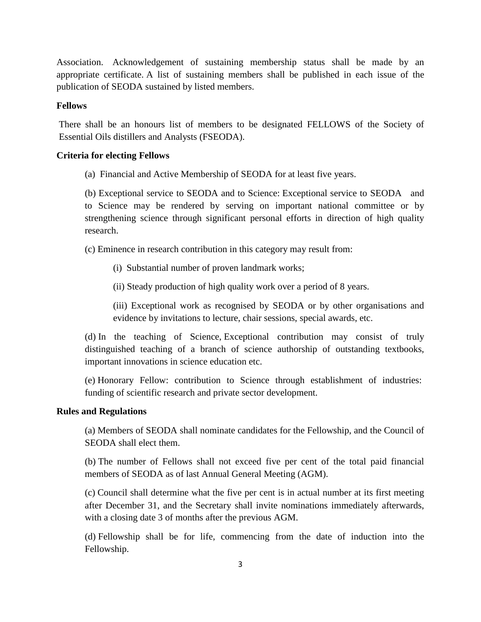Association. Acknowledgement of sustaining membership status shall be made by an appropriate certificate. A list of sustaining members shall be published in each issue of the publication of SEODA sustained by listed members.

#### **Fellows**

There shall be an honours list of members to be designated FELLOWS of the Society of Essential Oils distillers and Analysts (FSEODA).

#### **Criteria for electing Fellows**

(a) Financial and Active Membership of SEODA for at least five years.

(b) Exceptional service to SEODA and to Science: Exceptional service to SEODA and to Science may be rendered by serving on important national committee or by strengthening science through significant personal efforts in direction of high quality research.

(c) Eminence in research contribution in this category may result from:

(i) Substantial number of proven landmark works;

(ii) Steady production of high quality work over a period of 8 years.

(iii) Exceptional work as recognised by SEODA or by other organisations and evidence by invitations to lecture, chair sessions, special awards, etc.

(d) In the teaching of Science, Exceptional contribution may consist of truly distinguished teaching of a branch of science authorship of outstanding textbooks, important innovations in science education etc.

(e) Honorary Fellow: contribution to Science through establishment of industries: funding of scientific research and private sector development.

#### **Rules and Regulations**

(a) Members of SEODA shall nominate candidates for the Fellowship, and the Council of SEODA shall elect them.

(b) The number of Fellows shall not exceed five per cent of the total paid financial members of SEODA as of last Annual General Meeting (AGM).

(c) Council shall determine what the five per cent is in actual number at its first meeting after December 31, and the Secretary shall invite nominations immediately afterwards, with a closing date 3 of months after the previous AGM.

(d) Fellowship shall be for life, commencing from the date of induction into the Fellowship.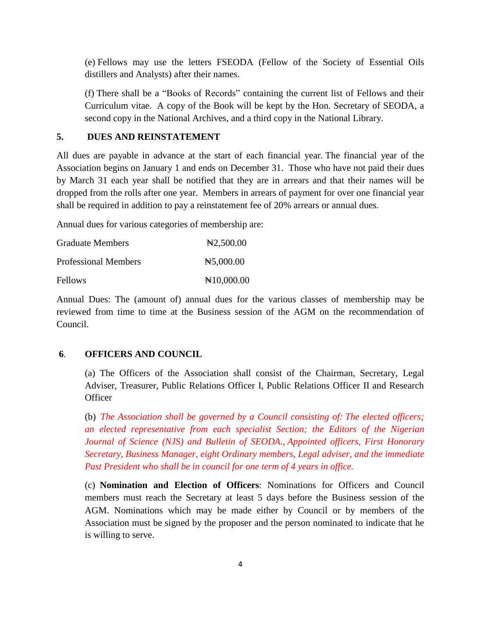(e) Fellows may use the letters FSEODA (Fellow of the Society of Essential Oils distillers and Analysts) after their names.

(f) There shall be a "Books of Records" containing the current list of Fellows and their Curriculum vitae. A copy of the Book will be kept by the Hon. Secretary of SEODA, a second copy in the National Archives, and a third copy in the National Library.

#### **5. DUES AND REINSTATEMENT**

All dues are payable in advance at the start of each financial year. The financial year of the Association begins on January 1 and ends on December 31. Those who have not paid their dues by March 31 each year shall be notified that they are in arrears and that their names will be dropped from the rolls after one year. Members in arrears of payment for over one financial year shall be required in addition to pay a reinstatement fee of 20% arrears or annual dues.

Annual dues for various categories of membership are:

| <b>Graduate Members</b>     | $\text{H}2,500.00$  |  |
|-----------------------------|---------------------|--|
| <b>Professional Members</b> | H5,000.00           |  |
| <b>Fellows</b>              | $\text{N}10,000.00$ |  |

Annual Dues: The (amount of) annual dues for the various classes of membership may be reviewed from time to time at the Business session of the AGM on the recommendation of Council.

### **6**. **OFFICERS AND COUNCIL**

(a) The Officers of the Association shall consist of the Chairman, Secretary, Legal Adviser, Treasurer, Public Relations Officer I, Public Relations Officer II and Research **Officer** 

(b) *The Association shall be governed by a Council consisting of: The elected officers; an elected representative from each specialist Section; the Editors of the Nigerian Journal of Science (NJS) and Bulletin of SEODA., Appointed officers, First Honorary Secretary, Business Manager, eight Ordinary members, Legal adviser, and the immediate Past President who shall be in council for one term of 4 years in office.*

(c) **Nomination and Election of Officers**: Nominations for Officers and Council members must reach the Secretary at least 5 days before the Business session of the AGM. Nominations which may be made either by Council or by members of the Association must be signed by the proposer and the person nominated to indicate that he is willing to serve.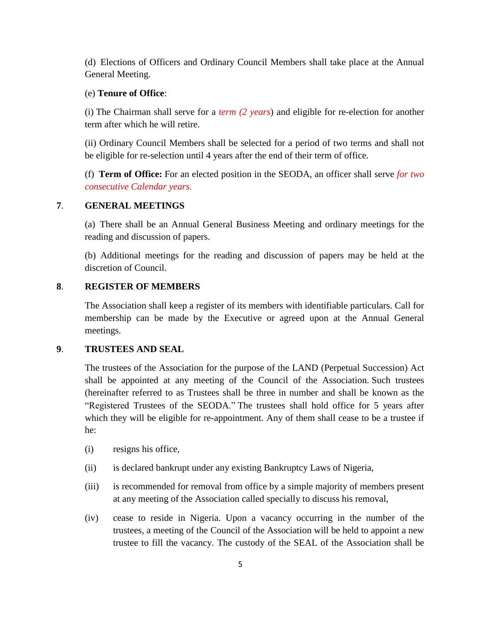(d) Elections of Officers and Ordinary Council Members shall take place at the Annual General Meeting.

#### (e) **Tenure of Office**:

(i) The Chairman shall serve for a *term (2 years*) and eligible for re-election for another term after which he will retire.

(ii) Ordinary Council Members shall be selected for a period of two terms and shall not be eligible for re-selection until 4 years after the end of their term of office.

(f) **Term of Office:** For an elected position in the SEODA, an officer shall serve *for two consecutive Calendar years.*

### **7**. **GENERAL MEETINGS**

(a) There shall be an Annual General Business Meeting and ordinary meetings for the reading and discussion of papers.

(b) Additional meetings for the reading and discussion of papers may be held at the discretion of Council.

### **8**. **REGISTER OF MEMBERS**

The Association shall keep a register of its members with identifiable particulars. Call for membership can be made by the Executive or agreed upon at the Annual General meetings.

#### **9**. **TRUSTEES AND SEAL**

The trustees of the Association for the purpose of the LAND (Perpetual Succession) Act shall be appointed at any meeting of the Council of the Association. Such trustees (hereinafter referred to as Trustees shall be three in number and shall be known as the "Registered Trustees of the SEODA." The trustees shall hold office for 5 years after which they will be eligible for re-appointment. Any of them shall cease to be a trustee if he:

- (i) resigns his office,
- (ii) is declared bankrupt under any existing Bankruptcy Laws of Nigeria,
- (iii) is recommended for removal from office by a simple majority of members present at any meeting of the Association called specially to discuss his removal,
- (iv) cease to reside in Nigeria. Upon a vacancy occurring in the number of the trustees, a meeting of the Council of the Association will be held to appoint a new trustee to fill the vacancy. The custody of the SEAL of the Association shall be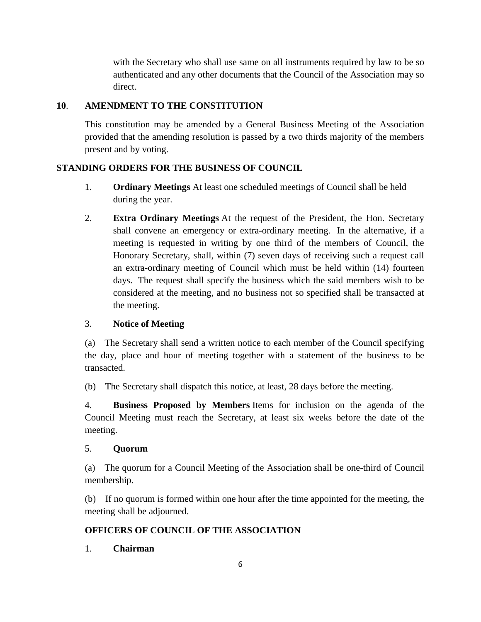with the Secretary who shall use same on all instruments required by law to be so authenticated and any other documents that the Council of the Association may so direct.

# **10**. **AMENDMENT TO THE CONSTITUTION**

This constitution may be amended by a General Business Meeting of the Association provided that the amending resolution is passed by a two thirds majority of the members present and by voting.

# **STANDING ORDERS FOR THE BUSINESS OF COUNCIL**

- 1. **Ordinary Meetings** At least one scheduled meetings of Council shall be held during the year.
- 2. **Extra Ordinary Meetings** At the request of the President, the Hon. Secretary shall convene an emergency or extra-ordinary meeting. In the alternative, if a meeting is requested in writing by one third of the members of Council, the Honorary Secretary, shall, within (7) seven days of receiving such a request call an extra-ordinary meeting of Council which must be held within (14) fourteen days. The request shall specify the business which the said members wish to be considered at the meeting, and no business not so specified shall be transacted at the meeting.

## 3. **Notice of Meeting**

(a) The Secretary shall send a written notice to each member of the Council specifying the day, place and hour of meeting together with a statement of the business to be transacted.

(b) The Secretary shall dispatch this notice, at least, 28 days before the meeting.

4. **Business Proposed by Members** Items for inclusion on the agenda of the Council Meeting must reach the Secretary, at least six weeks before the date of the meeting.

## 5. **Quorum**

(a) The quorum for a Council Meeting of the Association shall be one-third of Council membership.

(b) If no quorum is formed within one hour after the time appointed for the meeting, the meeting shall be adjourned.

# **OFFICERS OF COUNCIL OF THE ASSOCIATION**

1. **Chairman**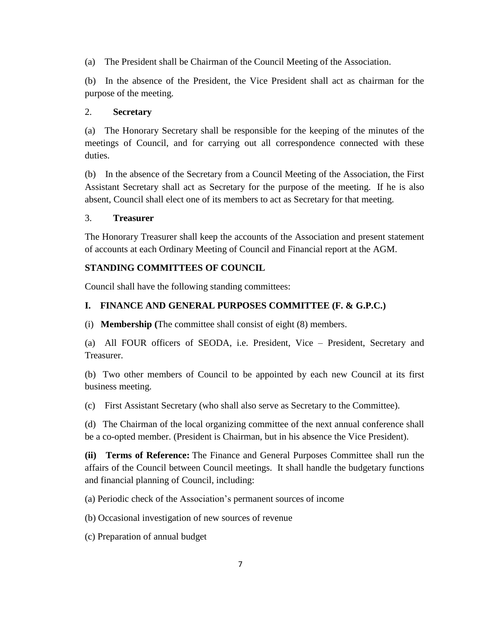(a) The President shall be Chairman of the Council Meeting of the Association.

(b) In the absence of the President, the Vice President shall act as chairman for the purpose of the meeting.

# 2. **Secretary**

(a) The Honorary Secretary shall be responsible for the keeping of the minutes of the meetings of Council, and for carrying out all correspondence connected with these duties.

(b) In the absence of the Secretary from a Council Meeting of the Association, the First Assistant Secretary shall act as Secretary for the purpose of the meeting. If he is also absent, Council shall elect one of its members to act as Secretary for that meeting.

## 3. **Treasurer**

The Honorary Treasurer shall keep the accounts of the Association and present statement of accounts at each Ordinary Meeting of Council and Financial report at the AGM.

# **STANDING COMMITTEES OF COUNCIL**

Council shall have the following standing committees:

# **I. FINANCE AND GENERAL PURPOSES COMMITTEE (F. & G.P.C.)**

(i) **Membership (**The committee shall consist of eight (8) members.

(a) All FOUR officers of SEODA, i.e. President, Vice – President, Secretary and Treasurer.

(b) Two other members of Council to be appointed by each new Council at its first business meeting.

(c) First Assistant Secretary (who shall also serve as Secretary to the Committee).

(d) The Chairman of the local organizing committee of the next annual conference shall be a co-opted member. (President is Chairman, but in his absence the Vice President).

**(ii) Terms of Reference:** The Finance and General Purposes Committee shall run the affairs of the Council between Council meetings. It shall handle the budgetary functions and financial planning of Council, including:

(a) Periodic check of the Association's permanent sources of income

(b) Occasional investigation of new sources of revenue

(c) Preparation of annual budget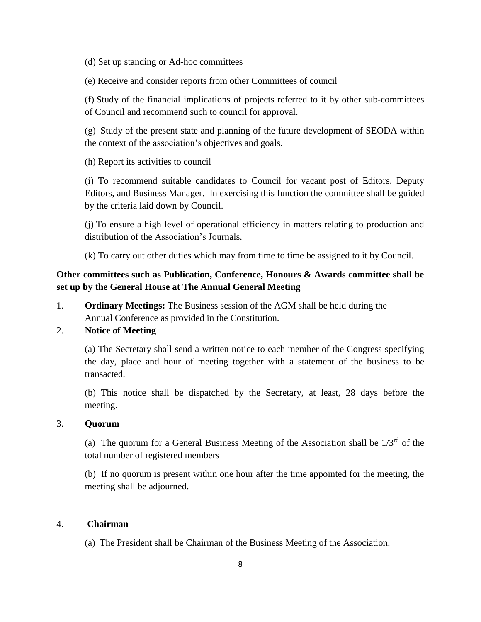(d) Set up standing or Ad-hoc committees

(e) Receive and consider reports from other Committees of council

(f) Study of the financial implications of projects referred to it by other sub-committees of Council and recommend such to council for approval.

(g) Study of the present state and planning of the future development of SEODA within the context of the association's objectives and goals.

(h) Report its activities to council

(i) To recommend suitable candidates to Council for vacant post of Editors, Deputy Editors, and Business Manager. In exercising this function the committee shall be guided by the criteria laid down by Council.

(j) To ensure a high level of operational efficiency in matters relating to production and distribution of the Association's Journals.

(k) To carry out other duties which may from time to time be assigned to it by Council.

# **Other committees such as Publication, Conference, Honours & Awards committee shall be set up by the General House at The Annual General Meeting**

1. **Ordinary Meetings:** The Business session of the AGM shall be held during the Annual Conference as provided in the Constitution.

# 2. **Notice of Meeting**

(a) The Secretary shall send a written notice to each member of the Congress specifying the day, place and hour of meeting together with a statement of the business to be transacted.

(b) This notice shall be dispatched by the Secretary, at least, 28 days before the meeting.

# 3. **Quorum**

(a) The quorum for a General Business Meeting of the Association shall be  $1/3^{rd}$  of the total number of registered members

(b) If no quorum is present within one hour after the time appointed for the meeting, the meeting shall be adjourned.

# 4. **Chairman**

(a) The President shall be Chairman of the Business Meeting of the Association.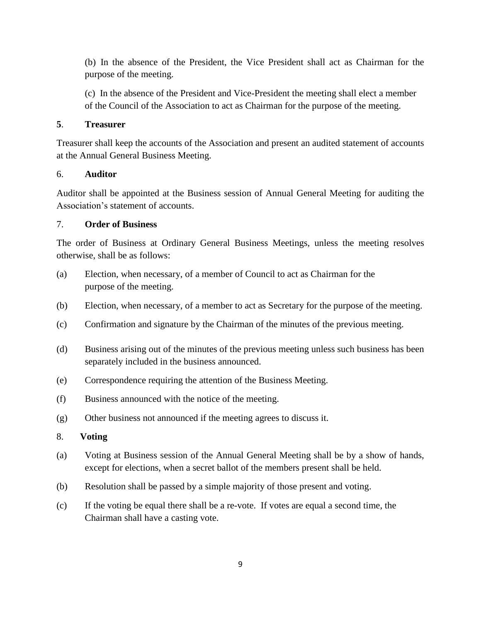(b) In the absence of the President, the Vice President shall act as Chairman for the purpose of the meeting.

(c) In the absence of the President and Vice-President the meeting shall elect a member of the Council of the Association to act as Chairman for the purpose of the meeting.

## **5**. **Treasurer**

Treasurer shall keep the accounts of the Association and present an audited statement of accounts at the Annual General Business Meeting.

# 6. **Auditor**

Auditor shall be appointed at the Business session of Annual General Meeting for auditing the Association's statement of accounts.

# 7. **Order of Business**

The order of Business at Ordinary General Business Meetings, unless the meeting resolves otherwise, shall be as follows:

- (a) Election, when necessary, of a member of Council to act as Chairman for the purpose of the meeting.
- (b) Election, when necessary, of a member to act as Secretary for the purpose of the meeting.
- (c) Confirmation and signature by the Chairman of the minutes of the previous meeting.
- (d) Business arising out of the minutes of the previous meeting unless such business has been separately included in the business announced.
- (e) Correspondence requiring the attention of the Business Meeting.
- (f) Business announced with the notice of the meeting.
- (g) Other business not announced if the meeting agrees to discuss it.

# 8. **Voting**

- (a) Voting at Business session of the Annual General Meeting shall be by a show of hands, except for elections, when a secret ballot of the members present shall be held.
- (b) Resolution shall be passed by a simple majority of those present and voting.
- (c) If the voting be equal there shall be a re-vote. If votes are equal a second time, the Chairman shall have a casting vote.